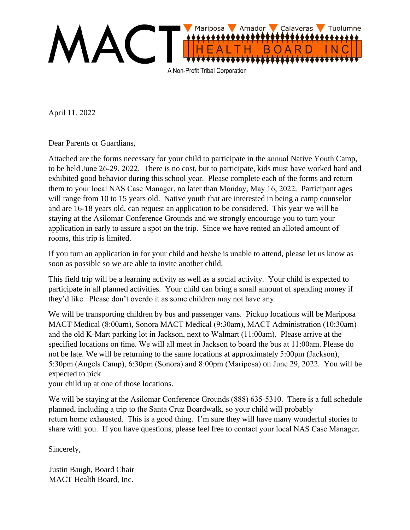

April 11, 2022

Dear Parents or Guardians,

Attached are the forms necessary for your child to participate in the annual Native Youth Camp, to be held June 26-29, 2022. There is no cost, but to participate, kids must have worked hard and exhibited good behavior during this school year. Please complete each of the forms and return them to your local NAS Case Manager, no later than Monday, May 16, 2022. Participant ages will range from 10 to 15 years old. Native youth that are interested in being a camp counselor and are 16-18 years old, can request an application to be considered. This year we will be staying at the Asilomar Conference Grounds and we strongly encourage you to turn your application in early to assure a spot on the trip. Since we have rented an alloted amount of rooms, this trip is limited.

If you turn an application in for your child and he/she is unable to attend, please let us know as soon as possible so we are able to invite another child.

This field trip will be a learning activity as well as a social activity. Your child is expected to participate in all planned activities. Your child can bring a small amount of spending money if they'd like. Please don't overdo it as some children may not have any.

We will be transporting children by bus and passenger vans. Pickup locations will be Mariposa MACT Medical (8:00am), Sonora MACT Medical (9:30am), MACT Administration (10:30am) and the old K-Mart parking lot in Jackson, next to Walmart (11:00am). Please arrive at the specified locations on time. We will all meet in Jackson to board the bus at 11:00am. Please do not be late. We will be returning to the same locations at approximately 5:00pm (Jackson), 5:30pm (Angels Camp), 6:30pm (Sonora) and 8:00pm (Mariposa) on June 29, 2022. You will be expected to pick

your child up at one of those locations.

We will be s[taying at the Asilomar Conference](mailto:Ashley.lancaster@macthealth.org) Grounds (888) 635-5310. There is a full schedule planned, including a trip to the Santa Cruz Boardwalk, so your child will probably return home exhausted. This is a good thing. I'm sure they will have many wonderful stories to share with you. If you have questions, please feel free to contact your local NAS Case Manager.

Sincerely,

Justin Baugh, Board Chair MACT Health Board, Inc.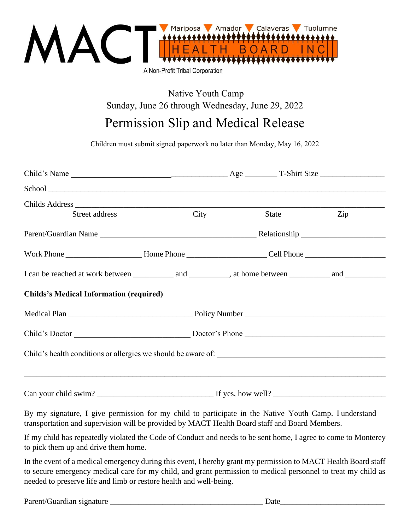

Native Youth Camp Sunday, June 26 through Wednesday, June 29, 2022

## Permission Slip and Medical Release

Children must submit signed paperwork no later than Monday, May 16, 2022

| Childs Address                                 |  |             |       |     |  |
|------------------------------------------------|--|-------------|-------|-----|--|
| Street address                                 |  | <b>City</b> | State | Zip |  |
|                                                |  |             |       |     |  |
|                                                |  |             |       |     |  |
|                                                |  |             |       |     |  |
| <b>Childs's Medical Information (required)</b> |  |             |       |     |  |
|                                                |  |             |       |     |  |
|                                                |  |             |       |     |  |
|                                                |  |             |       |     |  |
|                                                |  |             |       |     |  |

By my signature, I give permission for my child to participate in the Native Youth Camp. I understand transportation and supervision will be provided by MACT Health Board staff and Board Members.

If my child has repeatedly violated the Code of Conduct and needs to be sent home, I agree to come to Monterey to pick them up and drive them home.

In the event of a medical emergency during this event, I hereby grant my permission to MACT Health Board staff to secure emergency medical care for my child, and grant permission to medical personnel to treat my child as needed to preserve life and limb or restore health and well-being.

| Parent/Guar<br>signature<br>ныян | Jafr<br>$\sim$ |  |
|----------------------------------|----------------|--|
|                                  |                |  |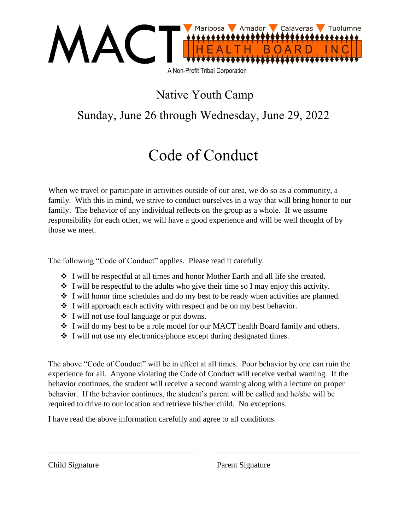

### Native Youth Camp

### Sunday, June 26 through Wednesday, June 29, 2022

## Code of Conduct

When we travel or participate in activities outside of our area, we do so as a community, a family. With this in mind, we strive to conduct ourselves in a way that will bring honor to our family. The behavior of any individual reflects on the group as a whole. If we assume responsibility for each other, we will have a good experience and will be well thought of by those we meet.

The following "Code of Conduct" applies. Please read it carefully.

- $\div$  I will be respectful at all times and honor Mother Earth and all life she created.
- $\div$  I will be respectful to the adults who give their time so I may enjoy this activity.
- I will honor time schedules and do my best to be ready when activities are planned.
- $\cdot \cdot$  I will approach each activity with respect and be on my best behavior.
- I will not use foul language or put downs.
- I will do my best to be a role model for our MACT health Board family and others.
- $\cdot$  I will not use my electronics/phone except during designated times.

The above "Code of Conduct" will be in effect at all times. Poor behavior by one can ruin the experience for all. Anyone violating the Code of Conduct will receive verbal warning. If the behavior continues, the student will receive a second warning along with a lecture on proper behavior. If the behavior continues, the student's parent will be called and he/she will be required to drive to our location and retrieve his/her child. No exceptions.

\_\_\_\_\_\_\_\_\_\_\_\_\_\_\_\_\_\_\_\_\_\_\_\_\_\_\_\_\_\_\_\_\_\_\_\_\_ \_\_\_\_\_\_\_\_\_\_\_\_\_\_\_\_\_\_\_\_\_\_\_\_\_\_\_\_\_\_\_\_\_\_\_\_

I have read the above information carefully and agree to all conditions.